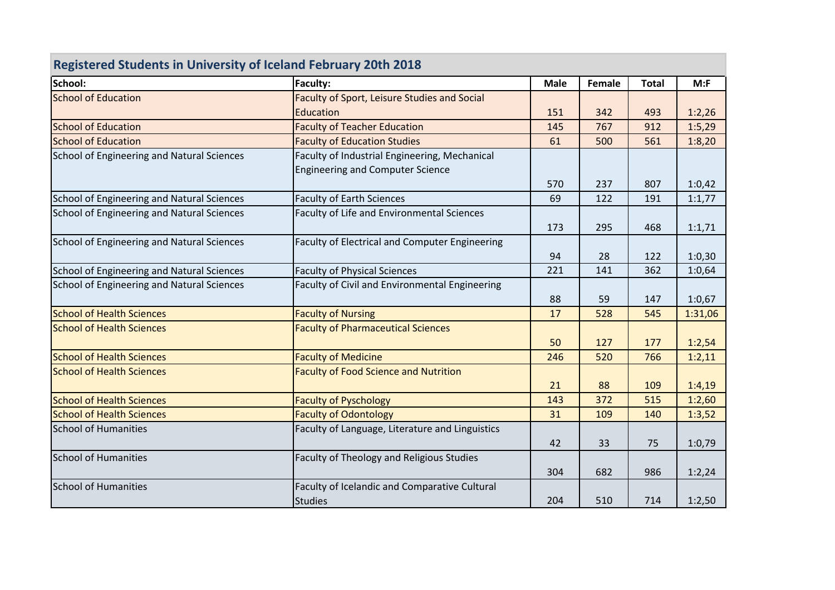| <b>Registered Students in University of Iceland February 20th 2018</b> |                                                 |             |        |              |         |  |
|------------------------------------------------------------------------|-------------------------------------------------|-------------|--------|--------------|---------|--|
| School:                                                                | Faculty:                                        | <b>Male</b> | Female | <b>Total</b> | M: F    |  |
| <b>School of Education</b>                                             | Faculty of Sport, Leisure Studies and Social    |             |        |              |         |  |
|                                                                        | Education                                       | 151         | 342    | 493          | 1:2,26  |  |
| <b>School of Education</b>                                             | <b>Faculty of Teacher Education</b>             | 145         | 767    | 912          | 1:5,29  |  |
| <b>School of Education</b>                                             | <b>Faculty of Education Studies</b>             | 61          | 500    | 561          | 1:8,20  |  |
| School of Engineering and Natural Sciences                             | Faculty of Industrial Engineering, Mechanical   |             |        |              |         |  |
|                                                                        | <b>Engineering and Computer Science</b>         |             |        |              |         |  |
|                                                                        |                                                 | 570         | 237    | 807          | 1:0,42  |  |
| School of Engineering and Natural Sciences                             | <b>Faculty of Earth Sciences</b>                | 69          | 122    | 191          | 1:1,77  |  |
| School of Engineering and Natural Sciences                             | Faculty of Life and Environmental Sciences      |             |        |              |         |  |
|                                                                        |                                                 | 173         | 295    | 468          | 1:1,71  |  |
| School of Engineering and Natural Sciences                             | Faculty of Electrical and Computer Engineering  |             |        |              |         |  |
|                                                                        |                                                 | 94          | 28     | 122          | 1:0,30  |  |
| School of Engineering and Natural Sciences                             | <b>Faculty of Physical Sciences</b>             | 221         | 141    | 362          | 1:0,64  |  |
| School of Engineering and Natural Sciences                             | Faculty of Civil and Environmental Engineering  |             |        |              |         |  |
|                                                                        |                                                 | 88          | 59     | 147          | 1:0,67  |  |
| <b>School of Health Sciences</b>                                       | <b>Faculty of Nursing</b>                       | 17          | 528    | 545          | 1:31,06 |  |
| <b>School of Health Sciences</b>                                       | <b>Faculty of Pharmaceutical Sciences</b>       |             |        |              |         |  |
|                                                                        |                                                 | 50          | 127    | 177          | 1:2,54  |  |
| <b>School of Health Sciences</b>                                       | <b>Faculty of Medicine</b>                      | 246         | 520    | 766          | 1:2,11  |  |
| <b>School of Health Sciences</b>                                       | <b>Faculty of Food Science and Nutrition</b>    |             |        |              |         |  |
|                                                                        |                                                 | 21          | 88     | 109          | 1:4,19  |  |
| <b>School of Health Sciences</b>                                       | <b>Faculty of Pyschology</b>                    | 143         | 372    | 515          | 1:2,60  |  |
| <b>School of Health Sciences</b>                                       | <b>Faculty of Odontology</b>                    | 31          | 109    | 140          | 1:3,52  |  |
| <b>School of Humanities</b>                                            | Faculty of Language, Literature and Linguistics |             |        |              |         |  |
|                                                                        |                                                 | 42          | 33     | 75           | 1:0,79  |  |
| <b>School of Humanities</b>                                            | Faculty of Theology and Religious Studies       |             |        |              |         |  |
|                                                                        |                                                 | 304         | 682    | 986          | 1:2,24  |  |
| <b>School of Humanities</b>                                            | Faculty of Icelandic and Comparative Cultural   |             |        |              |         |  |
|                                                                        | <b>Studies</b>                                  | 204         | 510    | 714          | 1:2,50  |  |